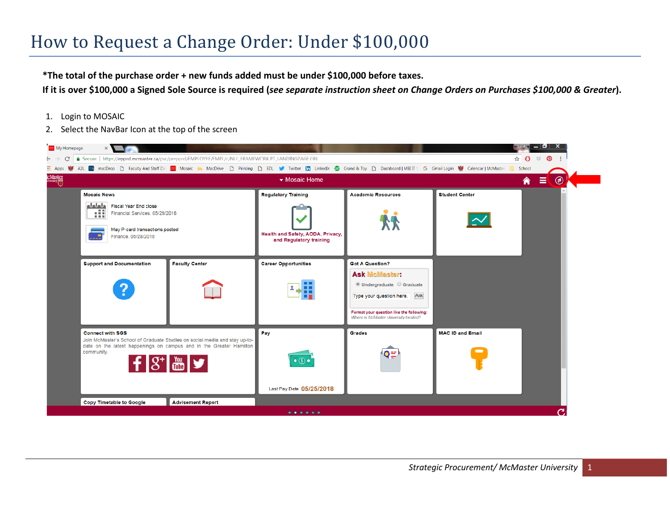## How to Request a Change Order: Under \$100,000

**\*The total of the purchase order + new funds added must be under \$100,000 before taxes.** 

**If it is over \$100,000 a Signed Sole Source is required (***see separate instruction sheet on Change Orders on Purchases \$100,000 & Greater***).**

- 1. Login to MOSAIC
- 2. Select the NavBar Icon at the top of the screen

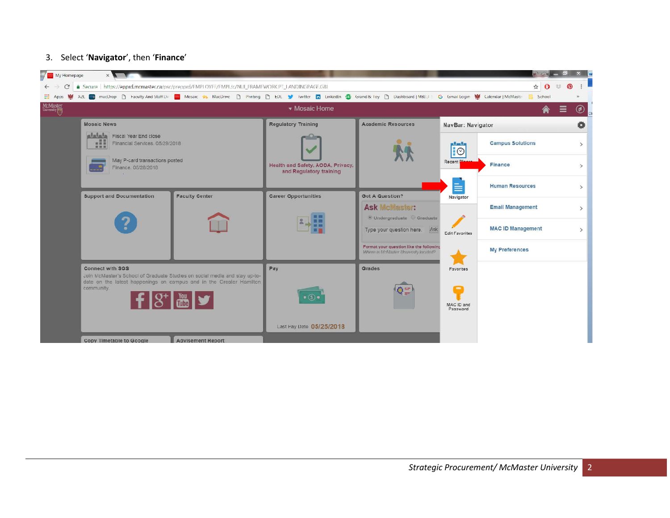## 3. Select '**Navigator**', then '**Finance**'

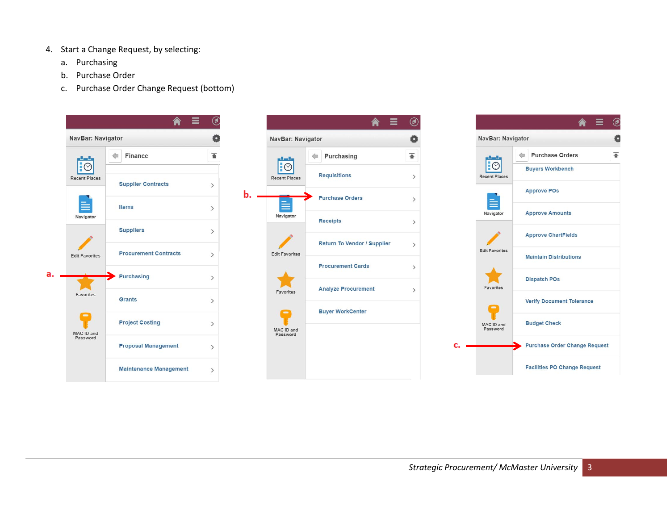- 4. Start a Change Request, by selecting:
	- a. Purchasing
	- b. Purchase Order
	- c. Purchase Order Change Request (bottom)





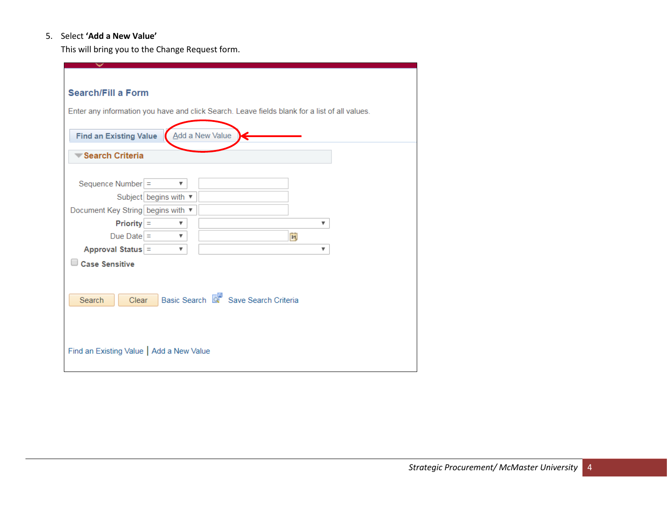## 5. Select **'Add a New Value'**

This will bring you to the Change Request form.

| <b>Search/Fill a Form</b><br>Enter any information you have and click Search. Leave fields blank for a list of all values.<br>Add a New Value<br><b>Find an Existing Value</b> |                         |                                     |   |  |  |  |  |
|--------------------------------------------------------------------------------------------------------------------------------------------------------------------------------|-------------------------|-------------------------------------|---|--|--|--|--|
|                                                                                                                                                                                |                         |                                     |   |  |  |  |  |
| Search Criteria                                                                                                                                                                |                         |                                     |   |  |  |  |  |
|                                                                                                                                                                                |                         |                                     |   |  |  |  |  |
|                                                                                                                                                                                | $\overline{\mathbf{v}}$ |                                     |   |  |  |  |  |
| Sequence Number =                                                                                                                                                              |                         |                                     |   |  |  |  |  |
| Subject begins with ▼                                                                                                                                                          |                         |                                     |   |  |  |  |  |
| Document Key String begins with ▼                                                                                                                                              |                         |                                     |   |  |  |  |  |
| $Priority =$                                                                                                                                                                   | ▼                       |                                     | ▼ |  |  |  |  |
| Due Date $=$                                                                                                                                                                   | $\overline{\mathbf{v}}$ | $\overline{\mathbf{B}}$             |   |  |  |  |  |
| Approval Status =                                                                                                                                                              | ▼                       |                                     | ▼ |  |  |  |  |
| <b>Case Sensitive</b>                                                                                                                                                          |                         |                                     |   |  |  |  |  |
|                                                                                                                                                                                |                         |                                     |   |  |  |  |  |
|                                                                                                                                                                                |                         |                                     |   |  |  |  |  |
|                                                                                                                                                                                |                         |                                     |   |  |  |  |  |
| Search<br>Clear                                                                                                                                                                |                         | Basic Search & Save Search Criteria |   |  |  |  |  |
|                                                                                                                                                                                |                         |                                     |   |  |  |  |  |
|                                                                                                                                                                                |                         |                                     |   |  |  |  |  |
|                                                                                                                                                                                |                         |                                     |   |  |  |  |  |
|                                                                                                                                                                                |                         |                                     |   |  |  |  |  |
| Find an Existing Value   Add a New Value                                                                                                                                       |                         |                                     |   |  |  |  |  |
|                                                                                                                                                                                |                         |                                     |   |  |  |  |  |
|                                                                                                                                                                                |                         |                                     |   |  |  |  |  |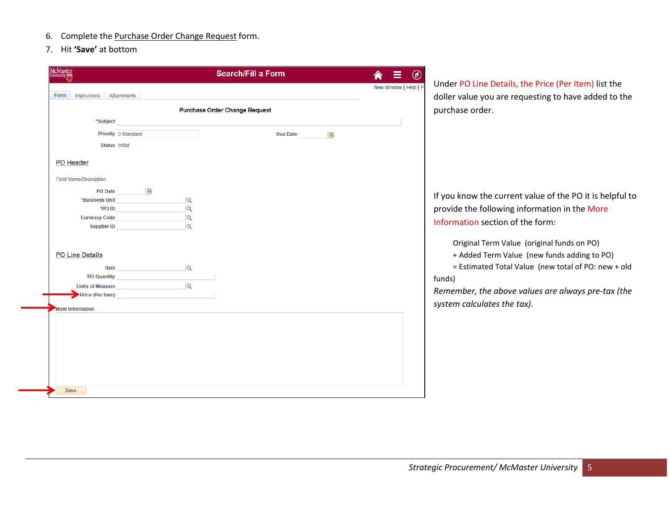- 6. Complete the Purchase Order Change Request form.
- 7. Hit **'Save'** at bottom

| Instructions<br>Attachments<br><b>Purchase Order Change Request</b><br>*Subject<br>Priority 3-Standard<br>$\mathbf{B}$<br><b>Due Date</b><br><b>Status</b> Initial<br>PO Date <b>B</b><br>*Business Unit<br>$\alpha$<br>$\alpha$<br>$\alpha$<br>Currency Code<br>$\alpha$<br>Supplier ID and the state of the state of the state of the state of the state of the state of the state of the<br><b>Item <i>Company of the Company of the Company</i> of the Company of the Company of the Company of the Company of the Company of the Company of the Company of the Company of the Company of the Company of the Company of the Co</b><br>$\overline{\mathsf{Q}}$<br>PO Quantity <b>Example 20</b><br>Units of Measure<br>Price (Per Item) | New Window   Help   P<br>Form<br><b>Field Name/Description</b><br><b>PO Line Details</b><br><b>More Information</b> | <b>McMaster</b><br><b>University</b> | <b>Search/Fill a Form</b> | ◉ |
|--------------------------------------------------------------------------------------------------------------------------------------------------------------------------------------------------------------------------------------------------------------------------------------------------------------------------------------------------------------------------------------------------------------------------------------------------------------------------------------------------------------------------------------------------------------------------------------------------------------------------------------------------------------------------------------------------------------------------------------------|---------------------------------------------------------------------------------------------------------------------|--------------------------------------|---------------------------|---|
|                                                                                                                                                                                                                                                                                                                                                                                                                                                                                                                                                                                                                                                                                                                                            |                                                                                                                     |                                      |                           |   |
|                                                                                                                                                                                                                                                                                                                                                                                                                                                                                                                                                                                                                                                                                                                                            |                                                                                                                     |                                      |                           |   |
|                                                                                                                                                                                                                                                                                                                                                                                                                                                                                                                                                                                                                                                                                                                                            |                                                                                                                     |                                      |                           |   |
|                                                                                                                                                                                                                                                                                                                                                                                                                                                                                                                                                                                                                                                                                                                                            |                                                                                                                     |                                      |                           |   |
|                                                                                                                                                                                                                                                                                                                                                                                                                                                                                                                                                                                                                                                                                                                                            |                                                                                                                     |                                      |                           |   |
|                                                                                                                                                                                                                                                                                                                                                                                                                                                                                                                                                                                                                                                                                                                                            |                                                                                                                     |                                      |                           |   |
|                                                                                                                                                                                                                                                                                                                                                                                                                                                                                                                                                                                                                                                                                                                                            |                                                                                                                     | <b>PO Header</b>                     |                           |   |
|                                                                                                                                                                                                                                                                                                                                                                                                                                                                                                                                                                                                                                                                                                                                            |                                                                                                                     |                                      |                           |   |
|                                                                                                                                                                                                                                                                                                                                                                                                                                                                                                                                                                                                                                                                                                                                            |                                                                                                                     |                                      |                           |   |
|                                                                                                                                                                                                                                                                                                                                                                                                                                                                                                                                                                                                                                                                                                                                            |                                                                                                                     |                                      |                           |   |
|                                                                                                                                                                                                                                                                                                                                                                                                                                                                                                                                                                                                                                                                                                                                            |                                                                                                                     |                                      |                           |   |
|                                                                                                                                                                                                                                                                                                                                                                                                                                                                                                                                                                                                                                                                                                                                            |                                                                                                                     |                                      |                           |   |
|                                                                                                                                                                                                                                                                                                                                                                                                                                                                                                                                                                                                                                                                                                                                            |                                                                                                                     |                                      |                           |   |
|                                                                                                                                                                                                                                                                                                                                                                                                                                                                                                                                                                                                                                                                                                                                            |                                                                                                                     |                                      |                           |   |
|                                                                                                                                                                                                                                                                                                                                                                                                                                                                                                                                                                                                                                                                                                                                            |                                                                                                                     |                                      |                           |   |
|                                                                                                                                                                                                                                                                                                                                                                                                                                                                                                                                                                                                                                                                                                                                            |                                                                                                                     |                                      |                           |   |
|                                                                                                                                                                                                                                                                                                                                                                                                                                                                                                                                                                                                                                                                                                                                            |                                                                                                                     |                                      |                           |   |
|                                                                                                                                                                                                                                                                                                                                                                                                                                                                                                                                                                                                                                                                                                                                            |                                                                                                                     |                                      |                           |   |
|                                                                                                                                                                                                                                                                                                                                                                                                                                                                                                                                                                                                                                                                                                                                            |                                                                                                                     |                                      |                           |   |
|                                                                                                                                                                                                                                                                                                                                                                                                                                                                                                                                                                                                                                                                                                                                            |                                                                                                                     |                                      |                           |   |
|                                                                                                                                                                                                                                                                                                                                                                                                                                                                                                                                                                                                                                                                                                                                            |                                                                                                                     |                                      |                           |   |
|                                                                                                                                                                                                                                                                                                                                                                                                                                                                                                                                                                                                                                                                                                                                            |                                                                                                                     |                                      |                           |   |
|                                                                                                                                                                                                                                                                                                                                                                                                                                                                                                                                                                                                                                                                                                                                            |                                                                                                                     |                                      |                           |   |
|                                                                                                                                                                                                                                                                                                                                                                                                                                                                                                                                                                                                                                                                                                                                            |                                                                                                                     |                                      |                           |   |
|                                                                                                                                                                                                                                                                                                                                                                                                                                                                                                                                                                                                                                                                                                                                            |                                                                                                                     | Save                                 |                           |   |

Under PO Line Details, the Price (Per Item) list the doller value you are requesting to have added to the purchase order.

If you know the current value of the PO it is helpful to provide the following information in the More Information section of the form:

Original Term Value (original funds on PO)

+ Added Term Value (new funds adding to PO)

 = Estimated Total Value (new total of PO: new + old funds)

*Remember, the above values are always pre-tax (the system calculates the tax).*